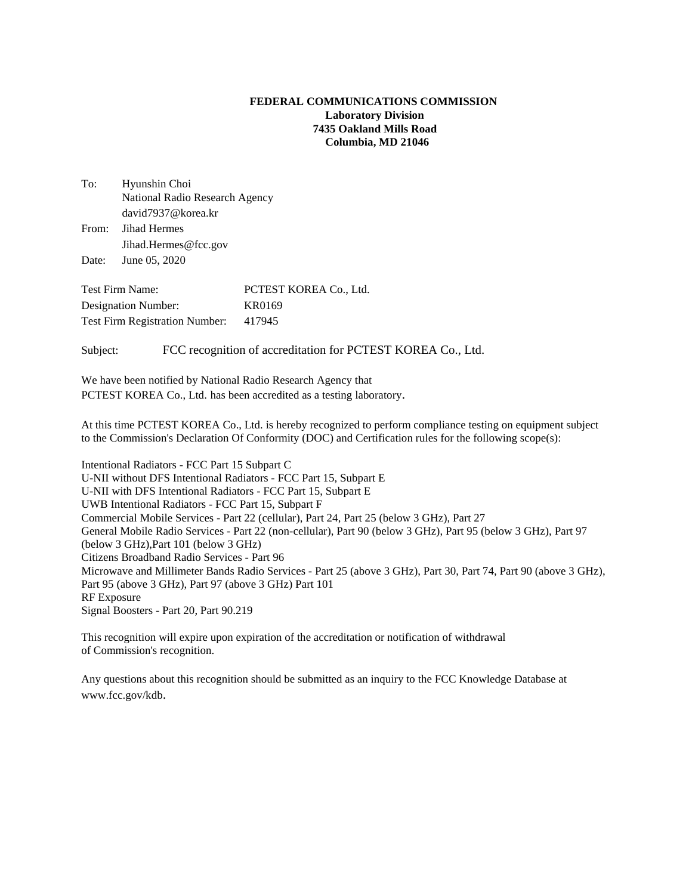## **FEDERAL COMMUNICATIONS COMMISSION Laboratory Division 7435 Oakland Mills Road Columbia, MD 21046**

| To:   | Hyunshin Choi                  |
|-------|--------------------------------|
|       | National Radio Research Agency |
|       | david7937@korea.kr             |
| From: | Jihad Hermes                   |
|       | Jihad.Hermes@fcc.gov           |
|       | Date: June 05, 2020            |

Test Firm Name: PCTEST KOREA Co., Ltd. Designation Number: KR0169 Test Firm Registration Number: 417945

Subject: FCC recognition of accreditation for PCTEST KOREA Co., Ltd.

We have been notified by National Radio Research Agency that PCTEST KOREA Co., Ltd. has been accredited as a testing laboratory.

At this time PCTEST KOREA Co., Ltd. is hereby recognized to perform compliance testing on equipment subject to the Commission's Declaration Of Conformity (DOC) and Certification rules for the following scope(s):

Intentional Radiators - FCC Part 15 Subpart C U-NII without DFS Intentional Radiators - FCC Part 15, Subpart E U-NII with DFS Intentional Radiators - FCC Part 15, Subpart E UWB Intentional Radiators - FCC Part 15, Subpart F Commercial Mobile Services - Part 22 (cellular), Part 24, Part 25 (below 3 GHz), Part 27 General Mobile Radio Services - Part 22 (non-cellular), Part 90 (below 3 GHz), Part 95 (below 3 GHz), Part 97 (below 3 GHz),Part 101 (below 3 GHz) Citizens Broadband Radio Services - Part 96 Microwave and Millimeter Bands Radio Services - Part 25 (above 3 GHz), Part 30, Part 74, Part 90 (above 3 GHz), Part 95 (above 3 GHz), Part 97 (above 3 GHz) Part 101 RF Exposure Signal Boosters - Part 20, Part 90.219

This recognition will expire upon expiration of the accreditation or notification of withdrawal of Commission's recognition.

Any questions about this recognition should be submitted as an inquiry to the FCC Knowledge Database at www.fcc.gov/kdb.